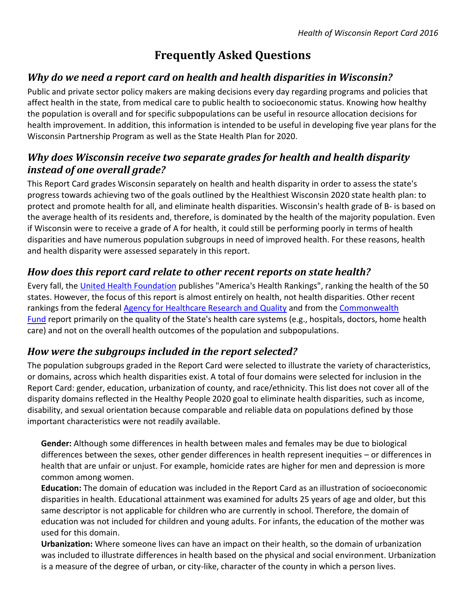# **Frequently Asked Questions**

### *Why do we need a report card on health and health disparities in Wisconsin?*

Public and private sector policy makers are making decisions every day regarding programs and policies that affect health in the state, from medical care to public health to socioeconomic status. Knowing how healthy the population is overall and for specific subpopulations can be useful in resource allocation decisions for health improvement. In addition, this information is intended to be useful in developing five year plans for the Wisconsin Partnership Program as well as the State Health Plan for 2020.

#### *Why does Wisconsin receive two separate grades for health and health disparity instead of one overall grade?*

This Report Card grades Wisconsin separately on health and health disparity in order to assess the state's progress towards achieving two of the goals outlined by the Healthiest Wisconsin 2020 state health plan: to protect and promote health for all, and eliminate health disparities. Wisconsin's health grade of B- is based on the average health of its residents and, therefore, is dominated by the health of the majority population. Even if Wisconsin were to receive a grade of A for health, it could still be performing poorly in terms of health disparities and have numerous population subgroups in need of improved health. For these reasons, health and health disparity were assessed separately in this report.

#### *How does this report card relate to other recent reports on state health?*

Every fall, the [United Health Foundation](http://www.unitedhealthfoundation.org/) publishes "America's Health Rankings", ranking the health of the 50 states. However, the focus of this report is almost entirely on health, not health disparities. Other recent rankings from the federal [Agency for Healthcare Research and Quality](http://www.ahrq.gov/research/data/state-snapshots/) and from the [Commonwealth](http://www.commonwealthfund.org/)  [Fund](http://www.commonwealthfund.org/) report primarily on the quality of the State's health care systems (e.g., hospitals, doctors, home health care) and not on the overall health outcomes of the population and subpopulations.

#### *How were the subgroups included in the report selected?*

The population subgroups graded in the Report Card were selected to illustrate the variety of characteristics, or domains, across which health disparities exist. A total of four domains were selected for inclusion in the Report Card: gender, education, urbanization of county, and race/ethnicity. This list does not cover all of the disparity domains reflected in the Healthy People 2020 goal to eliminate health disparities, such as income, disability, and sexual orientation because comparable and reliable data on populations defined by those important characteristics were not readily available.

**Gender:** Although some differences in health between males and females may be due to biological differences between the sexes, other gender differences in health represent inequities – or differences in health that are unfair or unjust. For example, homicide rates are higher for men and depression is more common among women.

**Education:** The domain of education was included in the Report Card as an illustration of socioeconomic disparities in health. Educational attainment was examined for adults 25 years of age and older, but this same descriptor is not applicable for children who are currently in school. Therefore, the domain of education was not included for children and young adults. For infants, the education of the mother was used for this domain.

**Urbanization:** Where someone lives can have an impact on their health, so the domain of urbanization was included to illustrate differences in health based on the physical and social environment. Urbanization is a measure of the degree of urban, or city-like, character of the county in which a person lives.